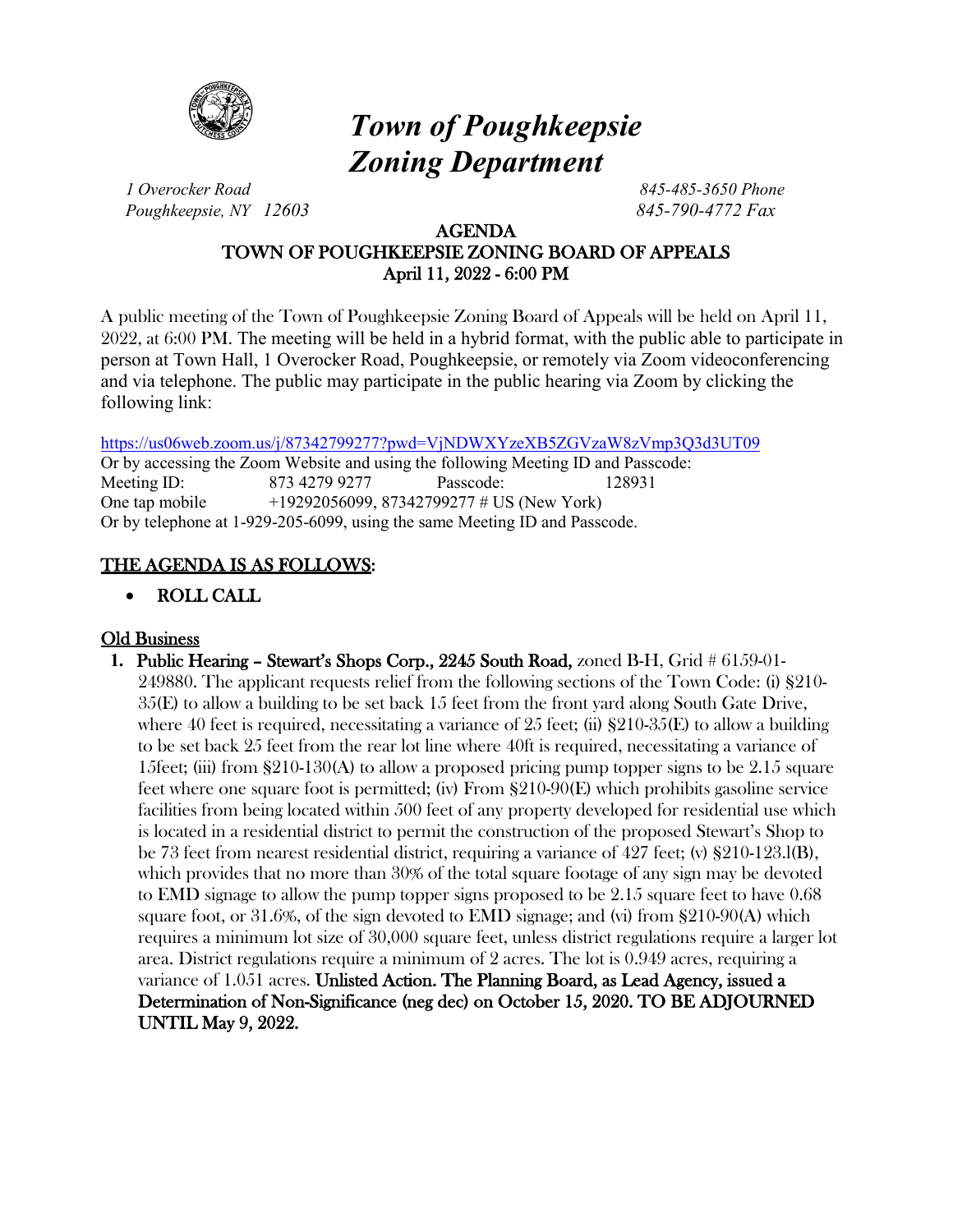

# *Town of Poughkeepsie Zoning Department*

*1 Overocker Road 845-485-3650 Phone Poughkeepsie, NY 12603 845-790-4772 Fax*

### AGENDA TOWN OF POUGHKEEPSIE ZONING BOARD OF APPEALS April 11, 2022 - 6:00 PM

A public meeting of the Town of Poughkeepsie Zoning Board of Appeals will be held on April 11, 2022, at 6:00 PM. The meeting will be held in a hybrid format, with the public able to participate in person at Town Hall, 1 Overocker Road, Poughkeepsie, or remotely via Zoom videoconferencing and via telephone. The public may participate in the public hearing via Zoom by clicking the following link:

<https://us06web.zoom.us/j/87342799277?pwd=VjNDWXYzeXB5ZGVzaW8zVmp3Q3d3UT09>

Or by accessing the Zoom Website and using the following Meeting ID and Passcode: Meeting ID: 873 4279 9277 Passcode: 128931 One tap mobile +19292056099, 87342799277 # US (New York) Or by telephone at 1-929-205-6099, using the same Meeting ID and Passcode.

## THE AGENDA IS AS FOLLOWS:

• ROLL CALL

## Old Business

**1.** Public Hearing – Stewart's Shops Corp., 2245 South Road, zoned B-H, Grid # 6159-01- 249880. The applicant requests relief from the following sections of the Town Code: (i) §210- 35(E) to allow a building to be set back 15 feet from the front yard along South Gate Drive, where 40 feet is required, necessitating a variance of 25 feet; (ii)  $\S210-35(E)$  to allow a building to be set back 25 feet from the rear lot line where 40ft is required, necessitating a variance of 15feet; (iii) from  $\S210-130(A)$  to allow a proposed pricing pump topper signs to be 2.15 square feet where one square foot is permitted; (iv) From §210-90(E) which prohibits gasoline service facilities from being located within 500 feet of any property developed for residential use which is located in a residential district to permit the construction of the proposed Stewart's Shop to be 73 feet from nearest residential district, requiring a variance of 427 feet; (v) §210-123.l(B), which provides that no more than 30% of the total square footage of any sign may be devoted to EMD signage to allow the pump topper signs proposed to be 2.15 square feet to have 0.68 square foot, or 31.6%, of the sign devoted to EMD signage; and (vi) from §210-90(A) which requires a minimum lot size of 30,000 square feet, unless district regulations require a larger lot area. District regulations require a minimum of 2 acres. The lot is 0.949 acres, requiring a variance of 1.051 acres. Unlisted Action. The Planning Board, as Lead Agency, issued a Determination of Non-Significance (neg dec) on October 15, 2020. TO BE ADJOURNED UNTIL May 9, 2022.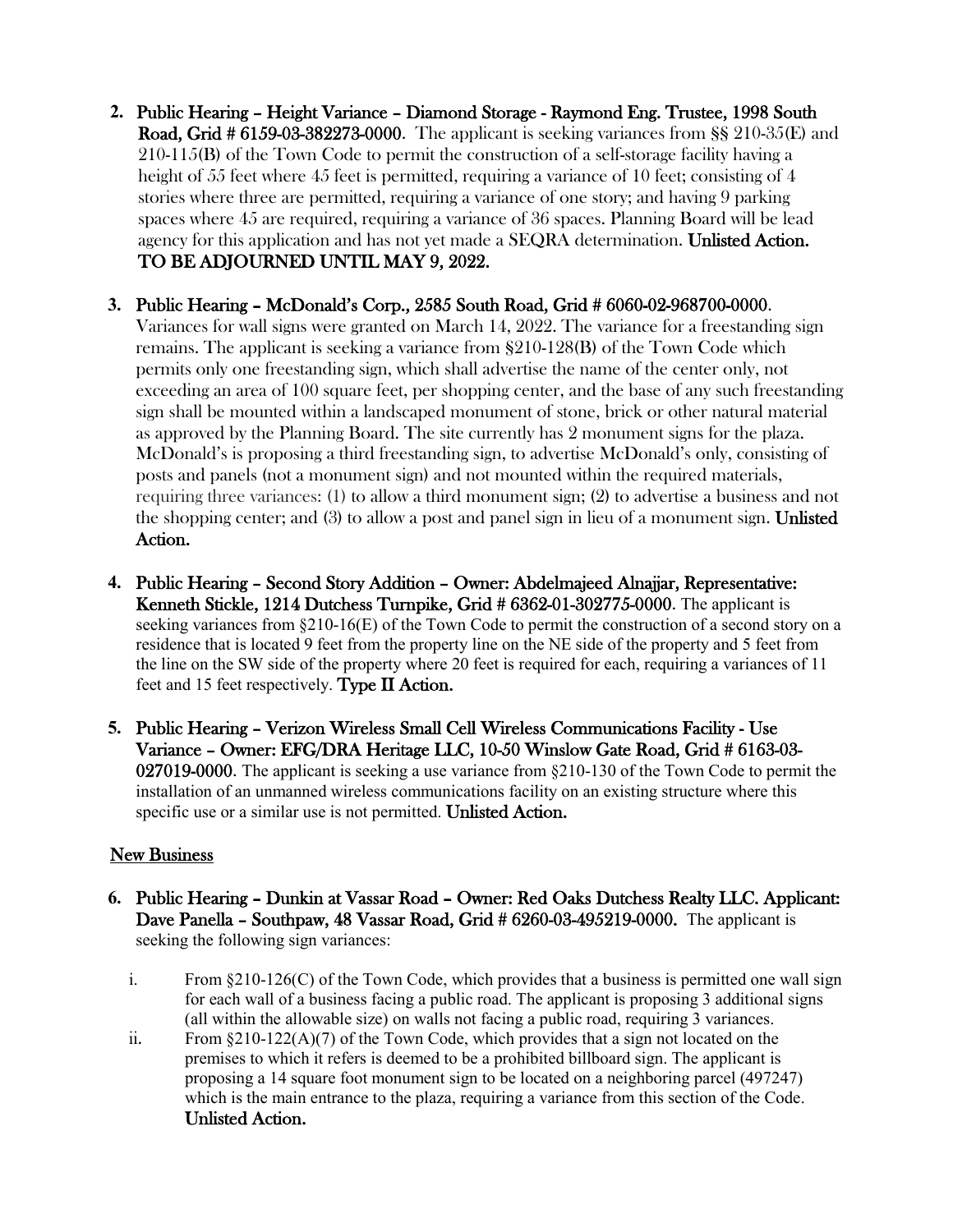- **2.** Public Hearing Height Variance Diamond Storage Raymond Eng. Trustee, 1998 South Road, Grid # 6159-03-382273-0000. The applicant is seeking variances from §§ 210-35(E) and 210-115(B) of the Town Code to permit the construction of a self-storage facility having a height of 55 feet where 45 feet is permitted, requiring a variance of 10 feet; consisting of 4 stories where three are permitted, requiring a variance of one story; and having 9 parking spaces where 45 are required, requiring a variance of 36 spaces. Planning Board will be lead agency for this application and has not yet made a SEQRA determination. Unlisted Action. TO BE ADJOURNED UNTIL MAY 9, 2022.
- **3.** Public Hearing McDonald's Corp., 2585 South Road, Grid # 6060-02-968700-0000.

Variances for wall signs were granted on March 14, 2022. The variance for a freestanding sign remains. The applicant is seeking a variance from §210-128(B) of the Town Code which permits only one freestanding sign, which shall advertise the name of the center only, not exceeding an area of 100 square feet, per shopping center, and the base of any such freestanding sign shall be mounted within a landscaped monument of stone, brick or other natural material as approved by the Planning Board. The site currently has 2 monument signs for the plaza. McDonald's is proposing a third freestanding sign, to advertise McDonald's only, consisting of posts and panels (not a monument sign) and not mounted within the required materials, requiring three variances: (1) to allow a third monument sign; (2) to advertise a business and not the shopping center; and (3) to allow a post and panel sign in lieu of a monument sign. Unlisted Action.

- **4.** Public Hearing Second Story Addition Owner: Abdelmajeed Alnajjar, Representative: Kenneth Stickle, 1214 Dutchess Turnpike, Grid # 6362-01-302775-0000. The applicant is seeking variances from §210-16(E) of the Town Code to permit the construction of a second story on a residence that is located 9 feet from the property line on the NE side of the property and 5 feet from the line on the SW side of the property where 20 feet is required for each, requiring a variances of 11 feet and 15 feet respectively. Type II Action.
- **5.** Public Hearing Verizon Wireless Small Cell Wireless Communications Facility Use Variance – Owner: EFG/DRA Heritage LLC, 10-50 Winslow Gate Road, Grid # 6163-03- 027019-0000. The applicant is seeking a use variance from §210-130 of the Town Code to permit the installation of an unmanned wireless communications facility on an existing structure where this specific use or a similar use is not permitted. Unlisted Action.

### **New Business**

- **6.** Public Hearing Dunkin at Vassar Road Owner: Red Oaks Dutchess Realty LLC. Applicant: Dave Panella – Southpaw, 48 Vassar Road, Grid # 6260-03-495219-0000. The applicant is seeking the following sign variances:
	- i. From  $\S210-126(C)$  of the Town Code, which provides that a business is permitted one wall sign for each wall of a business facing a public road. The applicant is proposing 3 additional signs (all within the allowable size) on walls not facing a public road, requiring 3 variances.
	- ii. From  $\S210-122(A)(7)$  of the Town Code, which provides that a sign not located on the premises to which it refers is deemed to be a prohibited billboard sign. The applicant is proposing a 14 square foot monument sign to be located on a neighboring parcel (497247) which is the main entrance to the plaza, requiring a variance from this section of the Code. Unlisted Action.